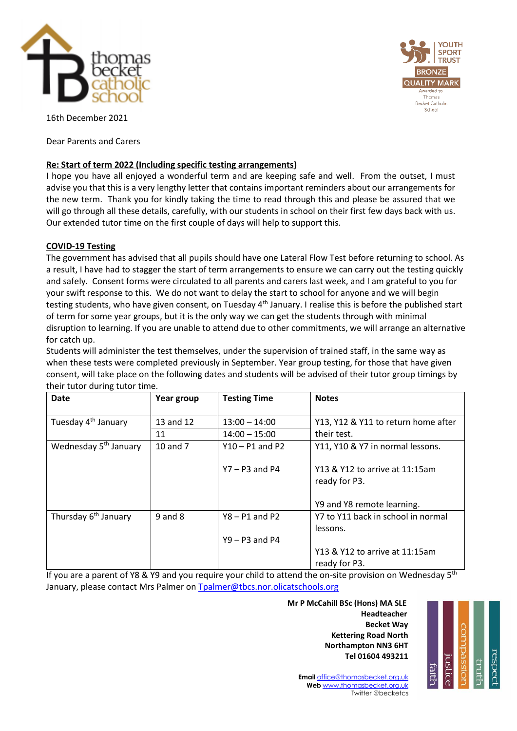



16th December 2021

Dear Parents and Carers

# **Re: Start of term 2022 (Including specific testing arrangements)**

I hope you have all enjoyed a wonderful term and are keeping safe and well. From the outset, I must advise you that this is a very lengthy letter that contains important reminders about our arrangements for the new term. Thank you for kindly taking the time to read through this and please be assured that we will go through all these details, carefully, with our students in school on their first few days back with us. Our extended tutor time on the first couple of days will help to support this.

# **COVID-19 Testing**

The government has advised that all pupils should have one Lateral Flow Test before returning to school. As a result, I have had to stagger the start of term arrangements to ensure we can carry out the testing quickly and safely. Consent forms were circulated to all parents and carers last week, and I am grateful to you for your swift response to this. We do not want to delay the start to school for anyone and we will begin testing students, who have given consent, on Tuesday 4<sup>th</sup> January. I realise this is before the published start of term for some year groups, but it is the only way we can get the students through with minimal disruption to learning. If you are unable to attend due to other commitments, we will arrange an alternative for catch up.

Students will administer the test themselves, under the supervision of trained staff, in the same way as when these tests were completed previously in September. Year group testing, for those that have given consent, will take place on the following dates and students will be advised of their tutor group timings by their tutor during tutor time.

| <b>Date</b>                       | Year group  | <b>Testing Time</b> | <b>Notes</b>                        |
|-----------------------------------|-------------|---------------------|-------------------------------------|
|                                   |             |                     |                                     |
| Tuesday 4 <sup>th</sup> January   | 13 and 12   | $13:00 - 14:00$     | Y13, Y12 & Y11 to return home after |
|                                   | 11          | $14:00 - 15:00$     | their test.                         |
| Wednesday 5 <sup>th</sup> January | 10 and 7    | $Y10 - P1$ and P2   | Y11, Y10 & Y7 in normal lessons.    |
|                                   |             |                     |                                     |
|                                   |             | $Y7 - P3$ and P4    | Y13 & Y12 to arrive at 11:15am      |
|                                   |             |                     | ready for P3.                       |
|                                   |             |                     |                                     |
|                                   |             |                     | Y9 and Y8 remote learning.          |
| Thursday 6 <sup>th</sup> January  | $9$ and $8$ | $Y8 - P1$ and P2    | Y7 to Y11 back in school in normal  |
|                                   |             |                     | lessons.                            |
|                                   |             | $Y9 - P3$ and P4    |                                     |
|                                   |             |                     | Y13 & Y12 to arrive at 11:15am      |
|                                   |             |                     | ready for P3.                       |

If you are a parent of Y8 & Y9 and you require your child to attend the on-site provision on Wednesday 5<sup>th</sup> January, please contact Mrs Palmer o[n Tpalmer@tbcs.nor.olicatschools.org](mailto:Tpalmer@tbcs.nor.olicatschools.org)

 **Mr P McCahill BSc (Hons) MA SLE** با المستخدم المستخدم المستخدم المستخدم المستخدم المستخدم المستخدم المستخدم المستخدم المستخدم المستخدم المستخدم ا **Becket Way Kettering Road North Northampton NN3 6HT Tel 01604 493211**



**Email** [office@thomasbecket.org.uk](mailto:office@thomasbecket.org.uk) **Web** [www.thomasbecket.org.uk](http://www.thomasbecket.org.uk/) Twitter @becketcs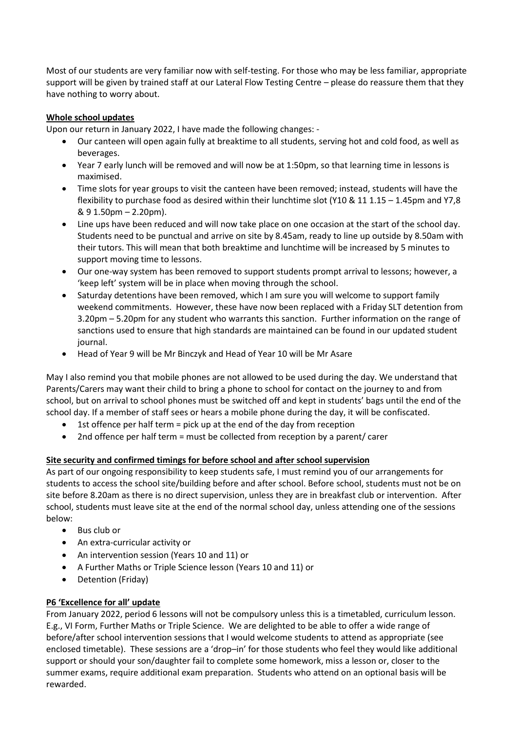Most of our students are very familiar now with self-testing. For those who may be less familiar, appropriate support will be given by trained staff at our Lateral Flow Testing Centre – please do reassure them that they have nothing to worry about.

# **Whole school updates**

Upon our return in January 2022, I have made the following changes: -

- Our canteen will open again fully at breaktime to all students, serving hot and cold food, as well as beverages.
- Year 7 early lunch will be removed and will now be at 1:50pm, so that learning time in lessons is maximised.
- Time slots for year groups to visit the canteen have been removed; instead, students will have the flexibility to purchase food as desired within their lunchtime slot (Y10 & 11 1.15 – 1.45pm and Y7,8 & 9 1.50pm – 2.20pm).
- Line ups have been reduced and will now take place on one occasion at the start of the school day. Students need to be punctual and arrive on site by 8.45am, ready to line up outside by 8.50am with their tutors. This will mean that both breaktime and lunchtime will be increased by 5 minutes to support moving time to lessons.
- Our one-way system has been removed to support students prompt arrival to lessons; however, a 'keep left' system will be in place when moving through the school.
- Saturday detentions have been removed, which I am sure you will welcome to support family weekend commitments. However, these have now been replaced with a Friday SLT detention from 3.20pm – 5.20pm for any student who warrants this sanction. Further information on the range of sanctions used to ensure that high standards are maintained can be found in our updated student journal.
- Head of Year 9 will be Mr Binczyk and Head of Year 10 will be Mr Asare

May I also remind you that mobile phones are not allowed to be used during the day. We understand that Parents/Carers may want their child to bring a phone to school for contact on the journey to and from school, but on arrival to school phones must be switched off and kept in students' bags until the end of the school day. If a member of staff sees or hears a mobile phone during the day, it will be confiscated.

- 1st offence per half term = pick up at the end of the day from reception
- 2nd offence per half term = must be collected from reception by a parent/ carer

### **Site security and confirmed timings for before school and after school supervision**

As part of our ongoing responsibility to keep students safe, I must remind you of our arrangements for students to access the school site/building before and after school. Before school, students must not be on site before 8.20am as there is no direct supervision, unless they are in breakfast club or intervention. After school, students must leave site at the end of the normal school day, unless attending one of the sessions below:

- Bus club or
- An extra-curricular activity or
- An intervention session (Years 10 and 11) or
- A Further Maths or Triple Science lesson (Years 10 and 11) or
- Detention (Friday)

### **P6 'Excellence for all' update**

From January 2022, period 6 lessons will not be compulsory unless this is a timetabled, curriculum lesson. E.g., VI Form, Further Maths or Triple Science. We are delighted to be able to offer a wide range of before/after school intervention sessions that I would welcome students to attend as appropriate (see enclosed timetable). These sessions are a 'drop–in' for those students who feel they would like additional support or should your son/daughter fail to complete some homework, miss a lesson or, closer to the summer exams, require additional exam preparation. Students who attend on an optional basis will be rewarded.